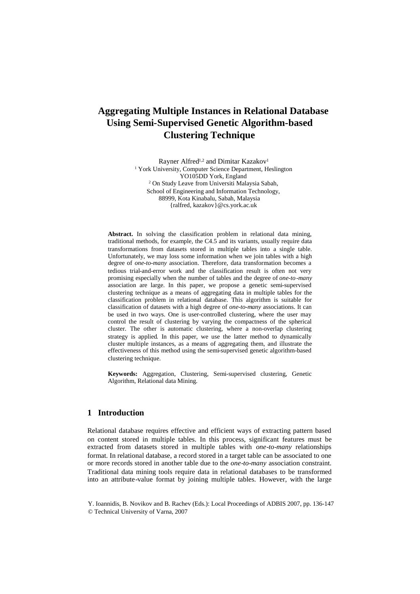# **Aggregating Multiple Instances in Relational Database Using Semi-Supervised Genetic Algorithm-based Clustering Technique**

Rayner Alfred<sup>1,2</sup> and Dimitar Kazakov<sup>1</sup> <sup>1</sup> York University, Computer Science Department, Heslington YO105DD York, England <sup>2</sup> On Study Leave from Universiti Malaysia Sabah, School of Engineering and Information Technology, 88999, Kota Kinabalu, Sabah, Malaysia {ralfred, kazakov}@cs.york.ac.uk

**Abstract.** In solving the classification problem in relational data mining, traditional methods, for example, the C4.5 and its variants, usually require data transformations from datasets stored in multiple tables into a single table. Unfortunately, we may loss some information when we join tables with a high degree of *one-to-many* association. Therefore, data transformation becomes a tedious trial-and-error work and the classification result is often not very promising especially when the number of tables and the degree of *one-to-many* association are large. In this paper, we propose a genetic semi-supervised clustering technique as a means of aggregating data in multiple tables for the classification problem in relational database. This algorithm is suitable for classification of datasets with a high degree of *one-to-many* associations. It can be used in two ways. One is user-controlled clustering, where the user may control the result of clustering by varying the compactness of the spherical cluster. The other is automatic clustering, where a non-overlap clustering strategy is applied. In this paper, we use the latter method to dynamically cluster multiple instances, as a means of aggregating them, and illustrate the effectiveness of this method using the semi-supervised genetic algorithm-based clustering technique.

**Keywords:** Aggregation, Clustering, Semi-supervised clustering, Genetic Algorithm, Relational data Mining.

# **1 Introduction**

Relational database requires effective and efficient ways of extracting pattern based on content stored in multiple tables. In this process, significant features must be extracted from datasets stored in multiple tables with *one-to-many* relationships format. In relational database, a record stored in a target table can be associated to one or more records stored in another table due to the *one-to-many* association constraint. Traditional data mining tools require data in relational databases to be transformed into an attribute-value format by joining multiple tables. However, with the large

Y. Ioannidis, B. Novikov and B. Rachev (Eds.): Local Proceedings of ADBIS 2007, pp. 136-147 © Technical University of Varna, 2007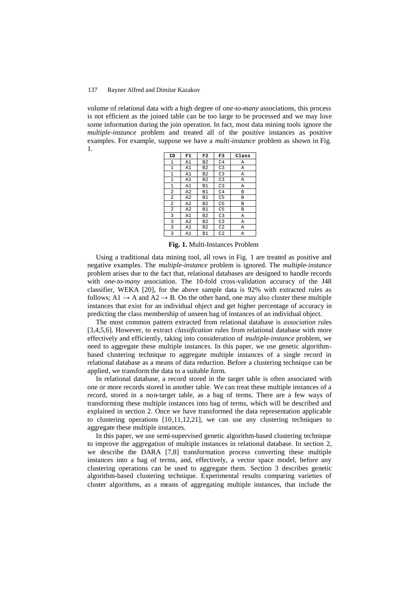volume of relational data with a high degree of *one-to-many* associations, this process is not efficient as the joined table can be too large to be processed and we may lose some information during the join operation. In fact, most data mining tools ignore the *multiple-instance* problem and treated all of the positive instances as positive examples. For example, suppose we have a *multi-instance* problem as shown in Fig. 1.

| ID             | F1             | F <sub>2</sub> | F3             | Class |
|----------------|----------------|----------------|----------------|-------|
| $\mathbf{1}$   | A1             | B <sub>2</sub> | C <sub>4</sub> | Α     |
| 1              | A1             | B <sub>2</sub> | C <sub>3</sub> | Α     |
| 1              | A1             | B <sub>2</sub> | C <sub>3</sub> | Α     |
| $\mathbf{1}$   | A1             | B <sub>2</sub> | C <sub>3</sub> | A     |
| $\mathbf 1$    | A1             | B1             | C <sub>3</sub> | Α     |
| 2              | A2             | B1             | C <sub>4</sub> | B     |
| $\overline{a}$ | A <sub>2</sub> | <b>B1</b>      | C <sub>5</sub> | B     |
| 2              | A <sub>2</sub> | B <sub>2</sub> | C <sub>5</sub> | B     |
| 2              | A <sub>2</sub> | B1             | C <sub>5</sub> | B     |
| 3              | A1             | B <sub>2</sub> | C <sub>3</sub> | Α     |
| 3              | A <sub>2</sub> | B <sub>2</sub> | C <sub>3</sub> | Α     |
| 3              | A1             | B <sub>2</sub> | C <sub>2</sub> | Α     |
| 3              | A1             | B1             | C <sub>2</sub> | A     |

**Fig. 1.** Multi-Instances Problem

Using a traditional data mining tool, all rows in Fig. 1 are treated as positive and negative examples. The *multiple-instance* problem is ignored. The *multiple-instance* problem arises due to the fact that, relational databases are designed to handle records with *one-to-many* association. The 10-fold cross-validation accuracy of the J48 classifier, WEKA [20], for the above sample data is 92% with extracted rules as follows;  $A1 \rightarrow A$  and  $A2 \rightarrow B$ . On the other hand, one may also cluster these multiple instances that exist for an individual object and get higher percentage of accuracy in predicting the class membership of unseen bag of instances of an individual object.

The most common pattern extracted from relational database is *association* rules [3,4,5,6]. However, to extract *classification* rules from relational database with more effectively and efficiently, taking into consideration of *multiple-instance* problem, we need to aggregate these multiple instances. In this paper, we use genetic algorithmbased clustering technique to aggregate multiple instances of a single record in relational database as a means of data reduction. Before a clustering technique can be applied, we transform the data to a suitable form.

In relational database, a record stored in the target table is often associated with one or more records stored in another table. We can treat these multiple instances of a record, stored in a non-target table, as a bag of terms. There are a few ways of transforming these multiple instances into bag of terms, which will be described and explained in section 2. Once we have transformed the data representation applicable to clustering operations [10,11,12,21], we can use any clustering techniques to aggregate these multiple instances.

In this paper, we use semi-supervised genetic algorithm-based clustering technique to improve the aggregation of multiple instances in relational database. In section 2, we describe the DARA [7,8] transformation process converting these multiple instances into a bag of terms, and, effectively, a vector space model, before any clustering operations can be used to aggregate them. Section 3 describes genetic algorithm-based clustering technique. Experimental results comparing varieties of cluster algorithms, as a means of aggregating multiple instances, that include the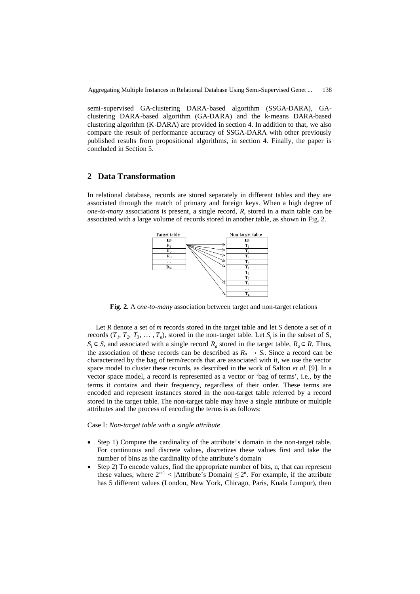semi-supervised GA-clustering DARA-based algorithm (SSGA-DARA), GAclustering DARA-based algorithm (GA-DARA) and the k-means DARA-based clustering algorithm (K-DARA) are provided in section 4. In addition to that, we also compare the result of performance accuracy of SSGA-DARA with other previously published results from propositional algorithms, in section 4. Finally, the paper is concluded in Section 5.

# **2 Data Transformation**

In relational database, records are stored separately in different tables and they are associated through the match of primary and foreign keys. When a high degree of *one-to-many* associations is present, a single record, *R*, stored in a main table can be associated with a large volume of records stored in another table, as shown in Fig. 2.



**Fig. 2.** A o*ne-to-many* association between target and non-target relations

Let *R* denote a set of *m* records stored in the target table and let *S* denote a set of *n* records  $(T_1, T_2, T_3, \ldots, T_n)$ , stored in the non-target table. Let  $S_i$  is in the subset of S,  $S_i \in S$ , and associated with a single record  $R_a$  stored in the target table,  $R_a \in R$ . Thus, the association of these records can be described as  $R_a \rightarrow S_i$ . Since a record can be characterized by the bag of term/records that are associated with it, we use the vector space model to cluster these records, as described in the work of Salton *et al.* [9]. In a vector space model, a record is represented as a vector or 'bag of terms', i.e., by the terms it contains and their frequency, regardless of their order. These terms are encoded and represent instances stored in the non-target table referred by a record stored in the target table. The non-target table may have a single attribute or multiple attributes and the process of encoding the terms is as follows:

Case I: *Non-target table with a single attribute*

- Step 1) Compute the cardinality of the attribute's domain in the non-target table. For continuous and discrete values, discretizes these values first and take the number of bins as the cardinality of the attribute's domain
- Step 2) To encode values, find the appropriate number of bits, n, that can represent these values, where  $2^{n-1}$  < |Attribute's Domain|  $\leq 2^n$ . For example, if the attribute has 5 different values (London, New York, Chicago, Paris, Kuala Lumpur), then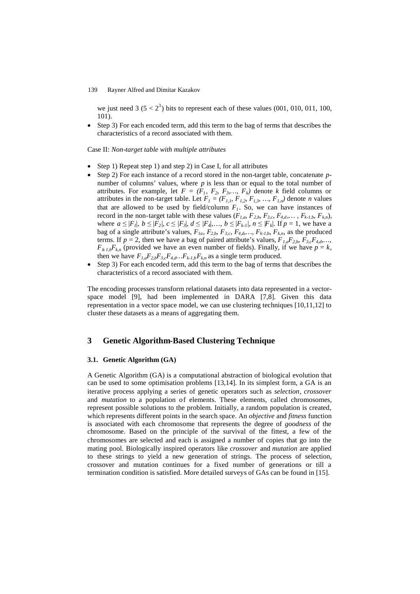we just need  $3 (5 < 2<sup>3</sup>)$  bits to represent each of these values (001, 010, 011, 100, 101).

 Step 3) For each encoded term, add this term to the bag of terms that describes the characteristics of a record associated with them.

Case II: *Non-target table with multiple attributes*

- Step 1) Repeat step 1) and step 2) in Case I, for all attributes
- Step 2) For each instance of a record stored in the non-target table, concatenate *p*number of columns' values, where *p* is less than or equal to the total number of attributes. For example, let  $F = (F_1, F_2, F_3, \ldots, F_k)$  denote *k* field columns or attributes in the non-target table. Let  $F_I = (F_{I,I}, F_{I,2}, F_{I,3}, ..., F_{I,n})$  denote *n* values that are allowed to be used by field/column  $F<sub>1</sub>$ . So, we can have instances of record in the non-target table with these values  $(F_{1,a}, F_{2,b}, F_{3,c}, F_{4,d}, \ldots, F_{k-1,b}, F_{k,n})$ , where  $a \leq |F_1|, b \leq |F_2|, c \leq |F_3|, d \leq |F_4|, \ldots, b \leq |F_{k-1}|, n \leq |F_k|$ . If  $p = 1$ , we have a bag of a single attribute's values, *F1a, F2,b, F3,c, F4,d,…, Fk-1,b, Fk,n*, as the produced terms. If  $p = 2$ , then we have a bag of paired attribute's values,  $F_{1,a}F_{2,b}$ ,  $F_{3,c}F_{4,d}$ ,...  $F_{k,l,b}F_{k,n}$  (provided we have an even number of fields). Finally, if we have  $p = k$ , then we have  $F_{1,a}F_{2,b}F_{3,c}F_{4,d}...F_{k,l,b}F_{k,n}$  as a single term produced.
- $\bullet$  Step 3) For each encoded term, add this term to the bag of terms that describes the characteristics of a record associated with them.

The encoding processes transform relational datasets into data represented in a vectorspace model [9], had been implemented in DARA [7,8]. Given this data representation in a vector space model, we can use clustering techniques [10,11,12] to cluster these datasets as a means of aggregating them.

# **3 Genetic Algorithm-Based Clustering Technique**

### **3.1. Genetic Algorithm (GA)**

A Genetic Algorithm (GA) is a computational abstraction of biological evolution that can be used to some optimisation problems [13,14]. In its simplest form, a GA is an iterative process applying a series of genetic operators such as *selection*, *crossover* and *mutation* to a population of elements. These elements, called chromosomes, represent possible solutions to the problem. Initially, a random population is created, which represents different points in the search space. An *objective* and *fitness* function is associated with each chromosome that represents the degree of *goodness* of the chromosome. Based on the principle of the survival of the fittest, a few of the chromosomes are selected and each is assigned a number of copies that go into the mating pool. Biologically inspired operators like *crossover* and *mutation* are applied to these strings to yield a new generation of strings. The process of selection, crossover and mutation continues for a fixed number of generations or till a termination condition is satisfied. More detailed surveys of GAs can be found in [15].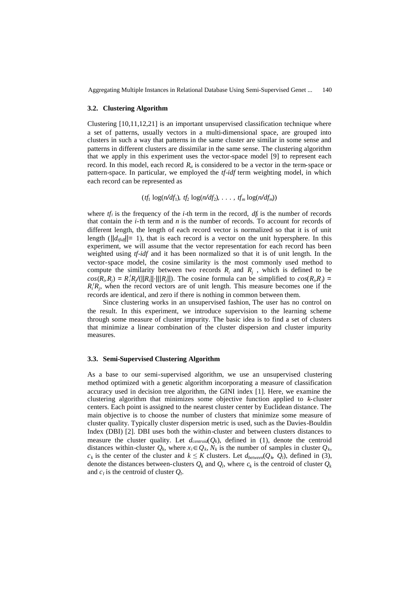Aggregating Multiple Instances in Relational Database Using Semi-Supervised Genet ... 140

### **3.2. Clustering Algorithm**

Clustering [10,11,12,21] is an important unsupervised classification technique where a set of patterns, usually vectors in a multi-dimensional space, are grouped into clusters in such a way that patterns in the same cluster are similar in some sense and patterns in different clusters are dissimilar in the same sense. The clustering algorithm that we apply in this experiment uses the vector-space model [9] to represent each record. In this model, each record  $R_a$  is considered to be a vector in the term-space or pattern-space. In particular, we employed the *tf-idf* term weighting model, in which each record can be represented as

 $(t_1^f \log(n/df_1), t_2^f \log(n/df_2), \ldots, t_m^f \log(n/df_m))$ 

where  $tf_i$  is the frequency of the *i*-th term in the record,  $df_i$  is the number of records that contain the *i-*th term and *n* is the number of records. To account for records of different length, the length of each record vector is normalized so that it is of unit length ( $||d_{\text{tfid}}||= 1$ ), that is each record is a vector on the unit hypersphere. In this experiment, we will assume that the vector representation for each record has been weighted using *tf-idf* and it has been normalized so that it is of unit length. In the vector-space model, the cosine similarity is the most commonly used method to compute the similarity between two records  $R_i$  and  $R_j$ , which is defined to be  $cos(R_i, R_j) = R_i^t R_j/(||R_i|| \cdot ||R_j||)$ . The cosine formula can be simplified to  $cos(R_i, R_j)$  =  $R_i^t R_j$ , when the record vectors are of unit length. This measure becomes one if the records are identical, and zero if there is nothing in common between them.

Since clustering works in an unsupervised fashion, The user has no control on the result. In this experiment, we introduce supervision to the learning scheme through some measure of cluster impurity. The basic idea is to find a set of clusters that minimize a linear combination of the cluster dispersion and cluster impurity measures.

#### **3.3. Semi-Supervised Clustering Algorithm**

As a base to our semi-supervised algorithm, we use an unsupervised clustering method optimized with a genetic algorithm incorporating a measure of classification accuracy used in decision tree algorithm, the GINI index [1]. Here, we examine the clustering algorithm that minimizes some objective function applied to *k*-cluster centers. Each point is assigned to the nearest cluster center by Euclidean distance. The main objective is to choose the number of clusters that minimize some measure of cluster quality. Typically cluster dispersion metric is used, such as the Davies-Bouldin Index (DBI) [2]. DBI uses both the within-cluster and between clusters distances to measure the cluster quality. Let  $d_{centroid}(Q_k)$ , defined in (1), denote the centroid distances within-cluster  $Q_k$ , where  $x_i \in Q_k$ ,  $N_k$  is the number of samples in cluster  $Q_k$ ,  $c_k$  is the center of the cluster and  $k \leq K$  clusters. Let  $d_{between}(Q_k, Q_l)$ , defined in (3), denote the distances between-clusters  $Q_k$  and  $Q_l$ , where  $c_k$  is the centroid of cluster  $Q_k$ and  $c_l$  is the centroid of cluster  $Q_l$ .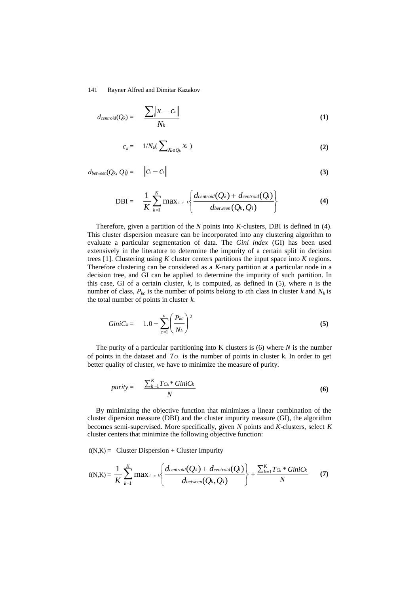$$
d_{centroid}(Q_k) = \frac{\sum_{i} ||x_i - c_k||}{N_k}
$$
 (1)

$$
c_k = 1/N_k(\sum\nolimits_{X_i \in Q_k} X_i)
$$
 (2)

 $d_{between}(Q_k, Q_l) =$   $\left\|C_k - C_l\right\|$  (3)

DBI = 
$$
\frac{1}{K} \sum_{k=1}^{K} \max_{l \neq k} \left\{ \frac{d_{centroid}(Q_k) + d_{centroid}(Q_l)}{d_{between}(Q_k, Q_l)} \right\}
$$
(4)

Therefore, given a partition of the *N* points into *K*-clusters, DBI is defined in (4). This cluster dispersion measure can be incorporated into any clustering algorithm to evaluate a particular segmentation of data. The *Gini index* (GI) has been used extensively in the literature to determine the impurity of a certain split in decision trees [1]. Clustering using *K* cluster centers partitions the input space into *K* regions. Therefore clustering can be considered as a *K*-nary partition at a particular node in a decision tree, and GI can be applied to determine the impurity of such partition. In this case, GI of a certain cluster,  $k$ , is computed, as defined in  $(5)$ , where  $n$  is the number of class,  $P_{kc}$  is the number of points belong to *c*th class in cluster *k* and  $N_k$  is the total number of points in cluster *k*.

$$
GiniC_k = 1.0 - \sum_{c=1}^{n} \left(\frac{P_{kc}}{N_k}\right)^2
$$
\n(5)

The purity of a particular partitioning into K clusters is (6) where *N* is the number of points in the dataset and  $T\alpha$  is the number of points in cluster k. In order to get better quality of cluster, we have to minimize the measure of purity.

$$
purity = \frac{\sum_{k=1}^{K} Tc_k * GiniC_k}{N}
$$
\n(6)

By minimizing the objective function that minimizes a linear combination of the cluster dipersion measure (DBI) and the cluster impurity measure (GI), the algorithm becomes semi-supervised. More specifically, given *N* points and *K*-clusters, select *K* cluster centers that minimize the following objective function:

 $f(N,K) =$  Cluster Dispersion + Cluster Impurity

$$
f(N,K) = \frac{1}{K} \sum_{k=1}^{K} \max_{l \neq k} \left\{ \frac{d_{centroid}(Q_k) + d_{centroid}(Q_l)}{d_{between}(Q_k, Q_l)} \right\} + \frac{\sum_{k=1}^{K} T_{\Omega_k} * GiniC_k}{N}
$$
(7)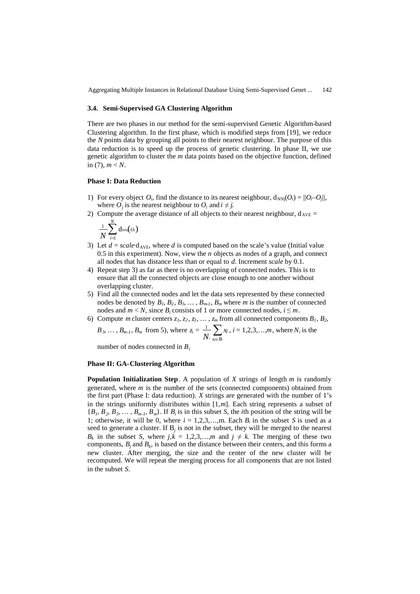Aggregating Multiple Instances in Relational Database Using Semi-Supervised Genet ... 142

#### **3.4. Semi-Supervised GA Clustering Algorithm**

There are two phases in our method for the semi-supervised Genetic Algorithm-based Clustering algorithm. In the first phase, which is modified steps from [19], we reduce the *N* points data by grouping all points to their nearest neighbour. The purpose of this data reduction is to speed up the process of genetic clustering. In phase II, we use genetic algorithm to cluster the *m* data points based on the objective function, defined in  $(7)$ ,  $m < N$ .

### **Phase I: Data Reduction**

- 1) For every object  $O_i$ , find the distance to its nearest neighbour,  $d_{NNj}(O_i) = ||O_i-O_j||$ , where  $O_j$  is the nearest neighbour to  $O_i$  and  $i \neq j$ .
- 2) Compute the average distance of all objects to their nearest neighbour,  $d_{AVE} =$

$$
\frac{1}{N}\sum_{i=1}^N \mathrm{d}_{\text{NNj}}(o_i)
$$

- 3) Let  $d = scale \cdot d_{AVE}$ , where *d* is computed based on the scale's value (Initial value 0.5 in this experiment). Now, view the *n* objects as nodes of a graph, and connect all nodes that has distance less than or equal to *d*. Increment *scale* by 0.1.
- 4) Repeat step 3) as far as there is no overlapping of connected nodes. This is to ensure that all the connected objects are close enough to one another without overlapping cluster.
- 5) Find all the connected nodes and let the data sets represented by these connected nodes be denoted by  $B_1$ ,  $B_2$ ,  $B_3$ ,  $\dots$ ,  $B_{m-1}$ ,  $B_m$  where *m* is the number of connected nodes and  $m < N$ , since  $B_i$  consists of 1 or more connected nodes,  $i \leq m$ .
- 6) Compute *m* cluster centers  $z_1$ ,  $z_2$ ,  $z_3$ ,  $\ldots$ ,  $z_m$  from all connected components  $B_1$ ,  $B_2$ *B*<sub>3</sub>, ..., *B*<sub>*m-1*</sub>, *B*<sub>*m*</sub> from 5), where  $z_i = \frac{1}{N_i} \sum_{x_j \in B_i} x_j$ *xj N*  $\frac{1}{N}$ ,  $\sum x_i$ ,  $i = 1, 2, 3, \ldots, m$ , where  $N_i$  is the

number of nodes connected in *B<sup>i</sup>*

#### **Phase II: GA-Clustering Algorithm**

**Population Initialization Step**. A population of *X* strings of length *m* is randomly generated, where *m* is the number of the sets (connected components) obtained from the first part (Phase I: data reduction). *X* strings are generated with the number of 1's in the strings uniformly distributes within [1,*m*]. Each string represents a subset of  ${B_1, B_2, B_3, \ldots, B_{m-l}, B_m}$ . If  $B_i$  is in this subset *S*, the *i*th position of the string will be 1; otherwise, it will be 0, where  $i = 1, 2, 3, \ldots, m$ . Each  $B_i$  in the subset *S* is used as a seed to generate a cluster. If  $B_j$  is not in the subset, they will be merged to the nearest *B<sub>k</sub>* in the subset *S*, where  $j, k = 1, 2, 3, \ldots, m$  and  $j \neq k$ . The merging of these two components,  $B_j$  and  $B_k$ , is based on the distance between their centers, and this forms a new cluster. After merging, the size and the center of the new cluster will be recomputed. We will repeat the merging process for all components that are not listed in the subset *S*.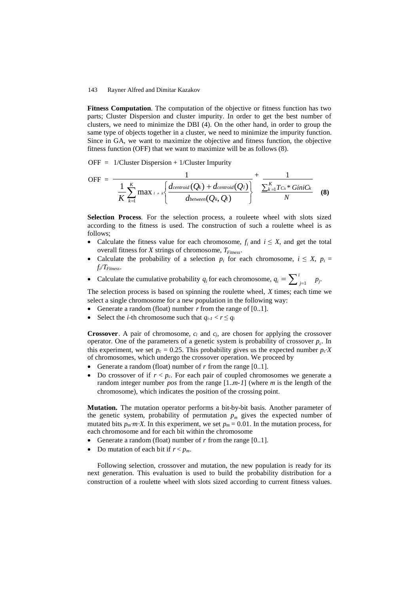**Fitness Computation**. The computation of the objective or fitness function has two parts; Cluster Dispersion and cluster impurity. In order to get the best number of clusters, we need to minimize the DBI (4). On the other hand, in order to group the same type of objects together in a cluster, we need to minimize the impurity function. Since in GA, we want to maximize the objective and fitness function, the objective fitness function (OFF) that we want to maximize will be as follows (8).

 $OFF = 1/C$ luster Dispersion + 1/Cluster Impurity

$$
\text{OFF} = \frac{1}{\frac{1}{K}\sum_{k=1}^{K}\max_{l \neq k}\left\{\frac{d_{centroid}(Q_k) + d_{centroid}(Q_l)}{d_{between}(Q_k, Q_l)}\right\}} + \frac{1}{\frac{\sum_{k=1}^{K}T_{C_k} * GiniC_k}{N}}
$$
(8)

**Selection Process**. For the selection process, a rouleete wheel with slots sized according to the fitness is used. The construction of such a roulette wheel is as follows;

- Calculate the fitness value for each chromosome,  $f_i$  and  $i \leq X$ , and get the total overall fitness for *X* strings of chromosome, *TFitness*.
- Calculate the probability of a selection  $p_i$  for each chromosome,  $i \leq X$ ,  $p_i =$ *fi*/*TFitness*.
- Calculate the cumulative probability  $q_i$  for each chromosome,  $q_i = \sum_{j=1}^{i} p_j$ .

The selection process is based on spinning the roulette wheel, *X* times; each time we select a single chromosome for a new population in the following way:

- Generate a random (float) number *r* from the range of [0..1].
- Select the *i*-th chromosome such that  $q_{i-l} < r \le q_i$

**Crossover**. A pair of chromosome, *c<sup>i</sup>* and *cj*, are chosen for applying the crossover operator. One of the parameters of a genetic system is probability of crossover  $p_c$ . In this experiment, we set  $p_c = 0.25$ . This probability gives us the expected number  $p_c$ **·***X* of chromosomes, which undergo the crossover operation. We proceed by

- Generate a random (float) number of *r* from the range [0..1].
- $\bullet$  Do crossover of if  $r < p_c$ . For each pair of coupled chromosomes we generate a random integer number *pos* from the range [1..*m-1*] (where *m* is the length of the chromosome), which indicates the position of the crossing point.

**Mutation.** The mutation operator performs a bit-by-bit basis. Another parameter of the genetic system, probability of permutation  $p_m$  gives the expected number of mutated bits  $p_m \cdot m \cdot X$ . In this experiment, we set  $p_m = 0.01$ . In the mutation process, for each chromosome and for each bit within the chromosome

- Generate a random (float) number of *r* from the range [0..1].
- Do mutation of each bit if  $r < p_m$ .

Following selection, crossover and mutation, the new population is ready for its next generation. This evaluation is used to build the probability distribution for a construction of a roulette wheel with slots sized according to current fitness values.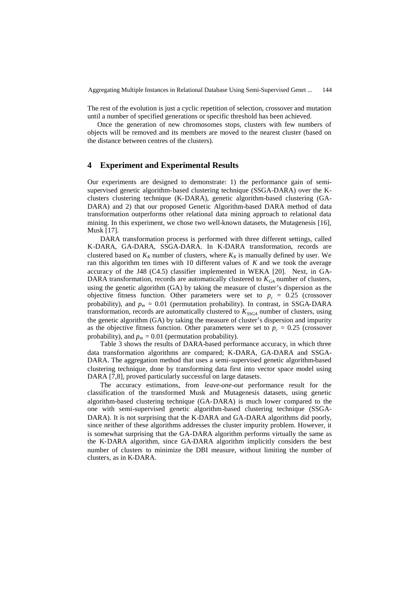The rest of the evolution is just a cyclic repetition of selection, crossover and mutation until a number of specified generations or specific threshold has been achieved.

Once the generation of new chromosomes stops, clusters with few numbers of objects will be removed and its members are moved to the nearest cluster (based on the distance between centres of the clusters).

## **4 Experiment and Experimental Results**

Our experiments are designed to demonstrate: 1) the performance gain of semisupervised genetic algorithm-based clustering technique (SSGA-DARA) over the Kclusters clustering technique (K-DARA), genetic algorithm-based clustering (GA-DARA) and 2) that our proposed Genetic Algorithm-based DARA method of data transformation outperforms other relational data mining approach to relational data mining. In this experiment, we chose two well-known datasets, the Mutagenesis [16], Musk [17].

DARA transformation process is performed with three different settings, called K-DARA, GA-DARA, SSGA-DARA. In K-DARA transformation, records are clustered based on  $K_K$  number of clusters, where  $K_K$  is manually defined by user. We ran this algorithm ten times with 10 different values of *K* and we took the average accuracy of the J48 (C4.5) classifier implemented in WEKA [20]. Next, in GA-DARA transformation, records are automatically clustered to  $K_{GA}$  number of clusters, using the genetic algorithm (GA) by taking the measure of cluster's dispersion as the objective fitness function. Other parameters were set to  $p_c = 0.25$  (crossover probability), and  $p_m = 0.01$  (permutation probability). In contrast, in SSGA-DARA transformation, records are automatically clustered to  $K_{SSGA}$  number of clusters, using the genetic algorithm (GA) by taking the measure of cluster's dispersion and impurity as the objective fitness function. Other parameters were set to  $p_c = 0.25$  (crossover probability), and  $p_m = 0.01$  (permutation probability).

Table 3 shows the results of DARA-based performance accuracy, in which three data transformation algorithms are compared; K-DARA, GA-DARA and SSGA-DARA. The aggregation method that uses a semi-supervised genetic algorithm-based clustering technique, done by transforming data first into vector space model using DARA [7,8], proved particularly successful on large datasets.

The accuracy estimations, from *leave-one-out* performance result for the classification of the transformed Musk and Mutagenesis datasets, using genetic algorithm-based clustering technique (GA-DARA) is much lower compared to the one with semi-supervised genetic algorithm-based clustering technique (SSGA-DARA). It is not surprising that the K-DARA and GA-DARA algorithms did poorly, since neither of these algorithms addresses the cluster impurity problem. However, it is somewhat surprising that the GA-DARA algorithm performs virtually the same as the K-DARA algorithm, since GA-DARA algorithm implicitly considers the best number of clusters to minimize the DBI measure, without limiting the number of clusters, as in K-DARA.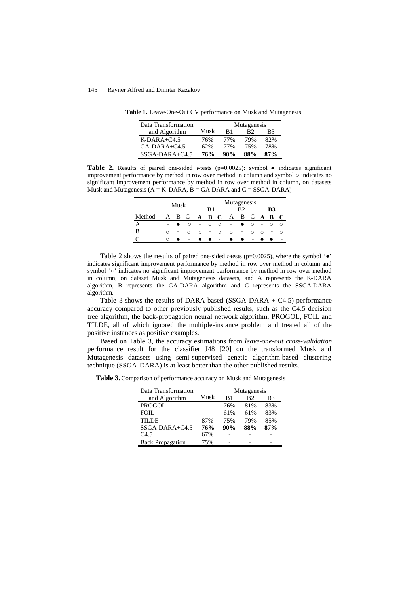| Data Transformation |      | Mutagenesis |     |        |  |  |
|---------------------|------|-------------|-----|--------|--|--|
| and Algorithm       | Musk | R1          | R2  | B3     |  |  |
| $K-DARA+C4.5$       | 76%  | 77%         | 79% | 82%    |  |  |
| $GA-DARA+C4.5$      | 62%  | 77%         | 75% | 78%    |  |  |
| $SSGA-DARA+C4.5$    | 76%  | $90\%$      | 88% | $87\%$ |  |  |

**Table 1.** Leave-One-Out CV performance on Musk and Mutagenesis

**Table 2.** Results of paired one-sided *t*-tests (p=0.0025): symbol ● indicates significant improvement performance by method in row over method in column and symbol ○indicates no significant improvement performance by method in row over method in column, on datasets Musk and Mutagenesis  $(A = K-DARA, B = GA-DARA)$  and  $C = SSGA-DARA$ 

|        | Musk   |       |   |        | Mutagenesis<br>B1<br>R٦  |         |                          |   |     |   | B3      |         |  |
|--------|--------|-------|---|--------|--------------------------|---------|--------------------------|---|-----|---|---------|---------|--|
| Method |        | A B C |   |        | A B C                    |         | A                        |   | B C |   | $A$ $B$ | $\bf C$ |  |
| А      |        |       | ∩ | $\sim$ | $\circ$                  | $\circ$ | $\overline{\phantom{0}}$ |   | O   |   | ◠       | $\circ$ |  |
| B      | $\cap$ | -     |   | ∩      | $\overline{\phantom{a}}$ | ◠       | $\circ$                  | - | ◠   | ◠ | -       | ◠       |  |
|        | ∩      |       |   |        |                          |         |                          |   |     |   |         |         |  |

Table 2 shows the results of paired one-sided *t*-tests ( $p=0.0025$ ), where the symbol ' $\bullet$ ' indicates significant improvement performance by method in row over method in column and symbol '○' indicates no significant improvement performance by method in row over method in column, on dataset Musk and Mutagenesis datasets, and A represents the K-DARA algorithm, B represents the GA-DARA algorithm and C represents the SSGA-DARA algorithm.

Table 3 shows the results of DARA-based (SSGA-DARA + C4.5) performance accuracy compared to other previously published results, such as the C4.5 decision tree algorithm, the back-propagation neural network algorithm, PROGOL, FOIL and TILDE, all of which ignored the multiple-instance problem and treated all of the positive instances as positive examples.

Based on Table 3, the accuracy estimations from *leave-one-out cross-validation* performance result for the classifier J48 [20] on the transformed Musk and Mutagenesis datasets using semi-supervised genetic algorithm-based clustering technique (SSGA-DARA) is at least better than the other published results.

**Table 3.** Comparison of performance accuracy on Musk and Mutagenesis

| Data Transformation     |      | Mutagenesis |                |     |  |  |
|-------------------------|------|-------------|----------------|-----|--|--|
| and Algorithm           | Musk | B1          | B <sub>2</sub> | B3  |  |  |
| <b>PROGOL</b>           |      | 76%         | 81%            | 83% |  |  |
| FOIL                    |      | 61%         | 61%            | 83% |  |  |
| <b>TILDE</b>            | 87%  | 75%         | 79%            | 85% |  |  |
| $SSGA-DARA+C4.5$        | 76%  | 90%         | 88%            | 87% |  |  |
| C <sub>4.5</sub>        | 67%  |             |                |     |  |  |
| <b>Back Propagation</b> | 75%  |             |                |     |  |  |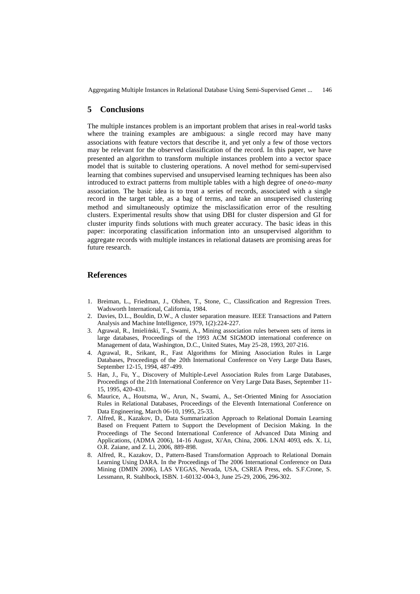Aggregating Multiple Instances in Relational Database Using Semi-Supervised Genet ... 146

# **5 Conclusions**

The multiple instances problem is an important problem that arises in real-world tasks where the training examples are ambiguous: a single record may have many associations with feature vectors that describe it, and yet only a few of those vectors may be relevant for the observed classification of the record. In this paper, we have presented an algorithm to transform multiple instances problem into a vector space model that is suitable to clustering operations. A novel method for semi-supervised learning that combines supervised and unsupervised learning techniques has been also introduced to extract patterns from multiple tables with a high degree of *one-to-many* association. The basic idea is to treat a series of records, associated with a single record in the target table, as a bag of terms, and take an unsupervised clustering method and simultaneously optimize the misclassification error of the resulting clusters. Experimental results show that using DBI for cluster dispersion and GI for cluster impurity finds solutions with much greater accuracy. The basic ideas in this paper: incorporating classification information into an unsupervised algorithm to aggregate records with multiple instances in relational datasets are promising areas for future research.

# **References**

- 1. Breiman, L., Friedman, J., Olshen, T., Stone, C., Classification and Regression Trees. Wadsworth International, California, 1984.
- 2. Davies, D.L., Bouldin, D.W., A cluster separation measure. IEEE Transactions and Pattern Analysis and Machine Intelligence, 1979, 1(2):224-227.
- 3. Agrawal, R., Imieliński, T., Swami, A., Mining association rules between sets of items in large databases, Proceedings of the 1993 ACM SIGMOD international conference on Management of data, Washington, D.C., United States, May 25-28, 1993, 207-216.
- 4. Agrawal, R., Srikant, R., Fast Algorithms for Mining Association Rules in Large Databases, Proceedings of the 20th International Conference on Very Large Data Bases, September 12-15, 1994, 487-499.
- 5. Han, J., Fu, Y., Discovery of Multiple-Level Association Rules from Large Databases, Proceedings of the 21th International Conference on Very Large Data Bases, September 11- 15, 1995, 420-431.
- 6. Maurice, A., Houtsma, W., Arun, N., Swami, A., Set-Oriented Mining for Association Rules in Relational Databases, Proceedings of the Eleventh International Conference on Data Engineering, March 06-10, 1995, 25-33.
- 7. Alfred, R., Kazakov, D., Data Summarization Approach to Relational Domain Learning Based on Frequent Pattern to Support the Development of Decision Making. In the Proceedings of The Second International Conference of Advanced Data Mining and Applications, (ADMA 2006), 14-16 August, Xi'An, China, 2006. LNAI 4093, eds. X. Li, O.R. Zaiane, and Z. Li, 2006, 889-898.
- 8. Alfred, R., Kazakov, D., Pattern-Based Transformation Approach to Relational Domain Learning Using DARA. In the Proceedings of The 2006 International Conference on Data Mining (DMIN 2006), LAS VEGAS, Nevada, USA, CSREA Press, eds. S.F.Crone, S. Lessmann, R. Stahlbock, ISBN. 1-60132-004-3, June 25-29, 2006, 296-302.